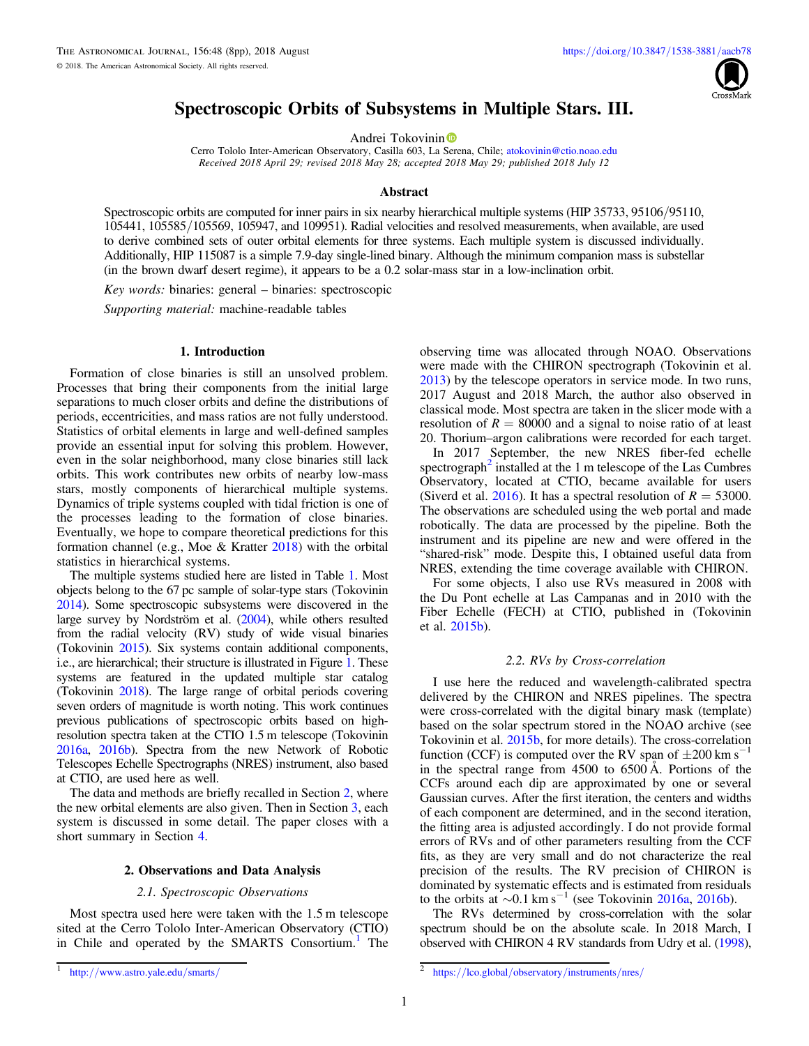

# Spectroscopic Orbits of Subsystems in Multiple Stars. III.

A[n](https://orcid.org/0000-0002-2084-0782)drei Tokovinin<sup>®</sup>

Cerro Tololo Inter-American Observatory, Casilla 603, La [Sere](https://orcid.org/0000-0002-2084-0782)na, Chile; [atokovinin@ctio.noao.edu](mailto:atokovinin@ctio.noao.edu) Received 2018 April 29; revised 2018 May 28; accepted 2018 May 29; published 2018 July 12

#### Abstract

Spectroscopic orbits are computed for inner pairs in six nearby hierarchical multiple systems (HIP 35733, 95106/95110, 105441, 105585/105569, 105947, and 109951). Radial velocities and resolved measurements, when available, are used to derive combined sets of outer orbital elements for three systems. Each multiple system is discussed individually. Additionally, HIP 115087 is a simple 7.9-day single-lined binary. Although the minimum companion mass is substellar (in the brown dwarf desert regime), it appears to be a 0.2 solar-mass star in a low-inclination orbit.

Key words: binaries: general – binaries: spectroscopic

Supporting material: machine-readable tables

#### 1. Introduction

Formation of close binaries is still an unsolved problem. Processes that bring their components from the initial large separations to much closer orbits and define the distributions of periods, eccentricities, and mass ratios are not fully understood. Statistics of orbital elements in large and well-defined samples provide an essential input for solving this problem. However, even in the solar neighborhood, many close binaries still lack orbits. This work contributes new orbits of nearby low-mass stars, mostly components of hierarchical multiple systems. Dynamics of triple systems coupled with tidal friction is one of the processes leading to the formation of close binaries. Eventually, we hope to compare theoretical predictions for this formation channel (e.g., Moe & Kratter [2018](#page-7-0)) with the orbital statistics in hierarchical systems.

The multiple systems studied here are listed in Table [1](#page-1-0). Most objects belong to the 67 pc sample of solar-type stars (Tokovinin [2014](#page-7-0)). Some spectroscopic subsystems were discovered in the large survey by Nordström et al. ([2004](#page-7-0)), while others resulted from the radial velocity (RV) study of wide visual binaries (Tokovinin [2015](#page-7-0)). Six systems contain additional components, i.e., are hierarchical; their structure is illustrated in Figure [1](#page-2-0). These systems are featured in the updated multiple star catalog (Tokovinin [2018](#page-7-0)). The large range of orbital periods covering seven orders of magnitude is worth noting. This work continues previous publications of spectroscopic orbits based on highresolution spectra taken at the CTIO 1.5 m telescope (Tokovinin [2016a](#page-7-0), [2016b](#page-7-0)). Spectra from the new Network of Robotic Telescopes Echelle Spectrographs (NRES) instrument, also based at CTIO, are used here as well.

The data and methods are briefly recalled in Section 2, where the new orbital elements are also given. Then in Section [3](#page-1-0), each system is discussed in some detail. The paper closes with a short summary in Section [4.](#page-6-0)

#### 2. Observations and Data Analysis

### 2.1. Spectroscopic Observations

Most spectra used here were taken with the 1.5 m telescope sited at the Cerro Tololo Inter-American Observatory (CTIO) in Chile and operated by the SMARTS Consortium.<sup>1</sup> The

observing time was allocated through NOAO. Observations were made with the CHIRON spectrograph (Tokovinin et al. [2013](#page-7-0)) by the telescope operators in service mode. In two runs, 2017 August and 2018 March, the author also observed in classical mode. Most spectra are taken in the slicer mode with a resolution of  $R = 80000$  and a signal to noise ratio of at least 20. Thorium–argon calibrations were recorded for each target.

In 2017 September, the new NRES fiber-fed echelle spectrograph<sup>2</sup> installed at the 1 m telescope of the Las Cumbres Observatory, located at CTIO, became available for users (Siverd et al. [2016](#page-7-0)). It has a spectral resolution of  $R = 53000$ . The observations are scheduled using the web portal and made robotically. The data are processed by the pipeline. Both the instrument and its pipeline are new and were offered in the "shared-risk" mode. Despite this, I obtained useful data from NRES, extending the time coverage available with CHIRON.

For some objects, I also use RVs measured in 2008 with the Du Pont echelle at Las Campanas and in 2010 with the Fiber Echelle (FECH) at CTIO, published in (Tokovinin et al. [2015b](#page-7-0)).

### 2.2. RVs by Cross-correlation

I use here the reduced and wavelength-calibrated spectra delivered by the CHIRON and NRES pipelines. The spectra were cross-correlated with the digital binary mask (template) based on the solar spectrum stored in the NOAO archive (see Tokovinin et al. [2015b,](#page-7-0) for more details). The cross-correlation function (CCF) is computed over the RV span of  $\pm 200 \text{ km s}^{-1}$ in the spectral range from 4500 to 6500 Å. Portions of the CCFs around each dip are approximated by one or several Gaussian curves. After the first iteration, the centers and widths of each component are determined, and in the second iteration, the fitting area is adjusted accordingly. I do not provide formal errors of RVs and of other parameters resulting from the CCF fits, as they are very small and do not characterize the real precision of the results. The RV precision of CHIRON is dominated by systematic effects and is estimated from residuals to the orbits at  $\sim$ 0.1 km s<sup>−1</sup> (see Tokovinin [2016a,](#page-7-0) [2016b](#page-7-0)).

The RVs determined by cross-correlation with the solar spectrum should be on the absolute scale. In 2018 March, I observed with CHIRON 4 RV standards from Udry et al. ([1998](#page-7-0)),

<sup>1</sup> http://[www.astro.yale.edu](http://www.astro.yale.edu/smarts/)/smarts/ <sup>2</sup> https://lco.global/[observatory](https://lco.global/observatory/instruments/nres/)/instruments/nres/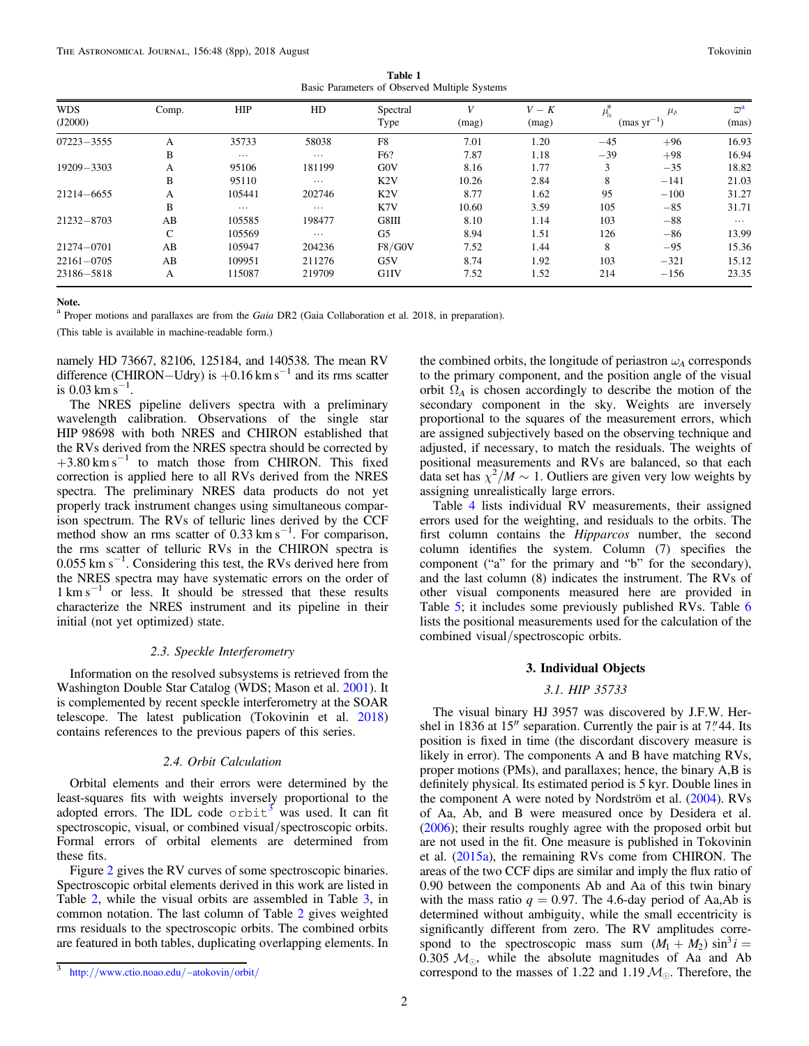Table 1 Basic Parameters of Observed Multiple Systems

<span id="page-1-0"></span>

| <b>WDS</b><br>(J2000) | Comp.        | HIP      | HD       | Spectral<br>Type | (mag) | $V-K$<br>(mag) | $\mu_{\alpha}$ | $\mu_{\delta}$<br>$(mas yr^{-1})$ | $\omega^{\mathbf{a}}$<br>(mas) |
|-----------------------|--------------|----------|----------|------------------|-------|----------------|----------------|-----------------------------------|--------------------------------|
| $07223 - 3555$        | А            | 35733    | 58038    | F8               | 7.01  | 1.20           | $-45$          | $+96$                             | 16.93                          |
|                       | B            | $\cdots$ | $\cdots$ | F6?              | 7.87  | 1.18           | $-39$          | $+98$                             | 16.94                          |
| $19209 - 3303$        | А            | 95106    | 181199   | G0V              | 8.16  | 1.77           |                | $-35$                             | 18.82                          |
|                       | B            | 95110    | $\cdots$ | K2V              | 10.26 | 2.84           | 8              | $-141$                            | 21.03                          |
| $21214 - 6655$        | А            | 105441   | 202746   | K2V              | 8.77  | 1.62           | 95             | $-100$                            | 31.27                          |
|                       | B            | $\cdots$ | $\cdots$ | K7V              | 10.60 | 3.59           | 105            | $-85$                             | 31.71                          |
| $21232 - 8703$        | AB           | 105585   | 198477   | G8III            | 8.10  | 1.14           | 103            | $-88$                             | $\cdots$                       |
|                       | $\mathsf{C}$ | 105569   | $\cdots$ | G5               | 8.94  | 1.51           | 126            | $-86$                             | 13.99                          |
| $21274 - 0701$        | AB           | 105947   | 204236   | F8/G0V           | 7.52  | 1.44           | 8              | $-95$                             | 15.36                          |
| $22161 - 0705$        | AB           | 109951   | 211276   | G5V              | 8.74  | 1.92           | 103            | $-321$                            | 15.12                          |
| 23186-5818            | А            | 115087   | 219709   | G1IV             | 7.52  | 1.52           | 214            | $-156$                            | 23.35                          |

Note.

<sup>a</sup> Proper motions and parallaxes are from the Gaia DR2 (Gaia Collaboration et al. 2018, in preparation).

(This table is available in machine-readable form.)

namely HD 73667, 82106, 125184, and 140538. The mean RV difference (CHIRON–Udry) is  $+0.16$  km s<sup>-1</sup> and its rms scatter is 0.03 km s<sup>-1</sup>.

The NRES pipeline delivers spectra with a preliminary wavelength calibration. Observations of the single star HIP 98698 with both NRES and CHIRON established that the RVs derived from the NRES spectra should be corrected by  $+3.80 \text{ km s}^{-1}$  to match those from CHIRON. This fixed correction is applied here to all RVs derived from the NRES spectra. The preliminary NRES data products do not yet properly track instrument changes using simultaneous comparison spectrum. The RVs of telluric lines derived by the CCF method show an rms scatter of 0.33 km s<sup>-1</sup>. For comparison, the rms scatter of telluric RVs in the CHIRON spectra is 0.055 km s−<sup>1</sup> . Considering this test, the RVs derived here from the NRES spectra may have systematic errors on the order of  $1 \text{ km s}^{-1}$  or less. It should be stressed that these results characterize the NRES instrument and its pipeline in their initial (not yet optimized) state.

#### 2.3. Speckle Interferometry

Information on the resolved subsystems is retrieved from the Washington Double Star Catalog (WDS; Mason et al. [2001](#page-7-0)). It is complemented by recent speckle interferometry at the SOAR telescope. The latest publication (Tokovinin et al. [2018](#page-7-0)) contains references to the previous papers of this series.

#### 2.4. Orbit Calculation

Orbital elements and their errors were determined by the least-squares fits with weights inversely proportional to the adopted errors. The IDL code  $\circ$ rbit<sup>3</sup> was used. It can fit spectroscopic, visual, or combined visual/spectroscopic orbits. Formal errors of orbital elements are determined from these fits.

Figure [2](#page-2-0) gives the RV curves of some spectroscopic binaries. Spectroscopic orbital elements derived in this work are listed in Table [2](#page-3-0), while the visual orbits are assembled in Table [3,](#page-4-0) in common notation. The last column of Table [2](#page-3-0) gives weighted rms residuals to the spectroscopic orbits. The combined orbits are featured in both tables, duplicating overlapping elements. In

the combined orbits, the longitude of periastron  $\omega_A$  corresponds to the primary component, and the position angle of the visual orbit  $\Omega_A$  is chosen accordingly to describe the motion of the secondary component in the sky. Weights are inversely proportional to the squares of the measurement errors, which are assigned subjectively based on the observing technique and adjusted, if necessary, to match the residuals. The weights of positional measurements and RVs are balanced, so that each data set has  $\chi^2/M \sim 1$ . Outliers are given very low weights by assigning unrealistically large errors.

Table [4](#page-4-0) lists individual RV measurements, their assigned errors used for the weighting, and residuals to the orbits. The first column contains the *Hipparcos* number, the second column identifies the system. Column (7) specifies the component ("a" for the primary and "b" for the secondary), and the last column (8) indicates the instrument. The RVs of other visual components measured here are provided in Table [5](#page-4-0); it includes some previously published RVs. Table [6](#page-5-0) lists the positional measurements used for the calculation of the combined visual/spectroscopic orbits.

### 3. Individual Objects

### 3.1. HIP 35733

The visual binary HJ 3957 was discovered by J.F.W. Hershel in 1836 at  $15''$  separation. Currently the pair is at  $7''$  44. Its position is fixed in time (the discordant discovery measure is likely in error). The components A and B have matching RVs, proper motions (PMs), and parallaxes; hence, the binary A,B is definitely physical. Its estimated period is 5 kyr. Double lines in the component A were noted by Nordström et al. ([2004](#page-7-0)). RVs of Aa, Ab, and B were measured once by Desidera et al. ([2006](#page-7-0)); their results roughly agree with the proposed orbit but are not used in the fit. One measure is published in Tokovinin et al. ([2015a](#page-7-0)), the remaining RVs come from CHIRON. The areas of the two CCF dips are similar and imply the flux ratio of 0.90 between the components Ab and Aa of this twin binary with the mass ratio  $q = 0.97$ . The 4.6-day period of Aa,Ab is determined without ambiguity, while the small eccentricity is significantly different from zero. The RV amplitudes correspond to the spectroscopic mass sum  $(M_1 + M_2) \sin^3 i =$ 0.305  $M_{\odot}$ , while the absolute magnitudes of Aa and Ab correspond to the masses of 1.22 and 1.19  $M_{\odot}$ . Therefore, the

<sup>3</sup> http://[www.ctio.noao.edu](http://www.ctio.noao.edu/~atokovin/orbit/)/~atokovin/orbit/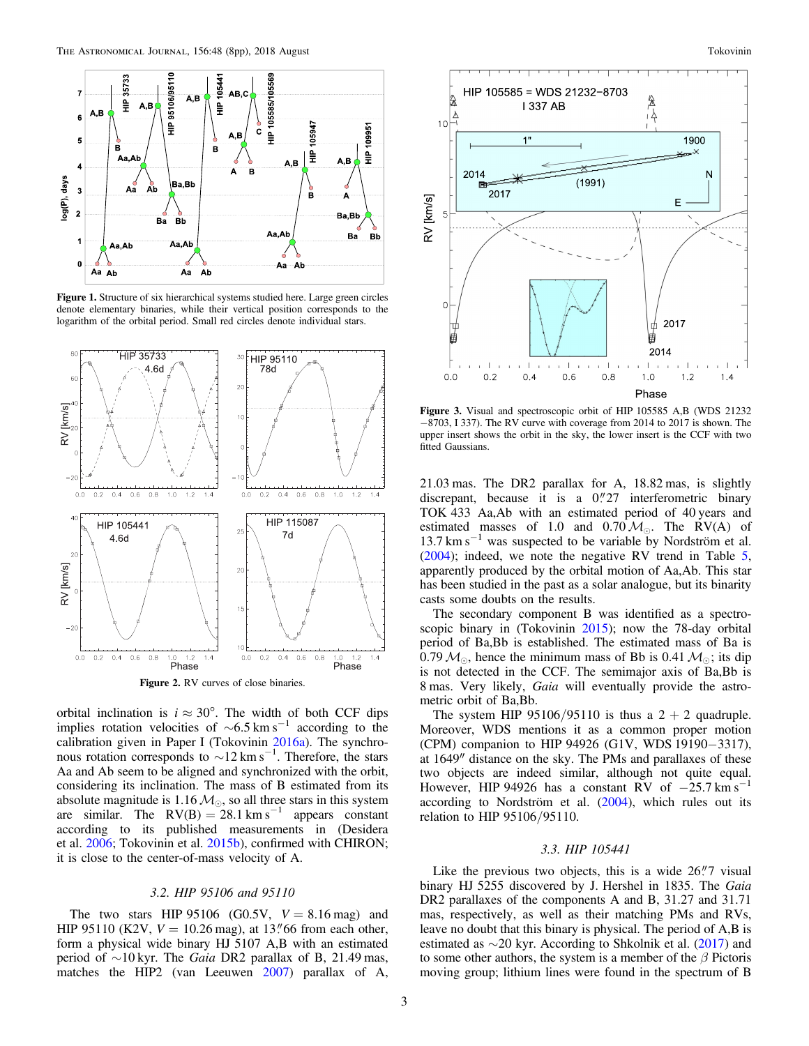<span id="page-2-0"></span>

Figure 1. Structure of six hierarchical systems studied here. Large green circles denote elementary binaries, while their vertical position corresponds to the logarithm of the orbital period. Small red circles denote individual stars.



Figure 2. RV curves of close binaries.

orbital inclination is  $i \approx 30^{\circ}$ . The width of both CCF dips implies rotation velocities of  $\sim 6.5$  km s<sup>−1</sup> according to the calibration given in Paper I (Tokovinin [2016a](#page-7-0)). The synchronous rotation corresponds to  $\sim$ 12 km s<sup>-1</sup>. Therefore, the stars Aa and Ab seem to be aligned and synchronized with the orbit, considering its inclination. The mass of B estimated from its absolute magnitude is 1.16  $M_{\odot}$ , so all three stars in this system are similar. The  $RV(B) = 28.1$  km s<sup>-1</sup> appears constant according to its published measurements in (Desidera et al. [2006](#page-7-0); Tokovinin et al. [2015b](#page-7-0)), confirmed with CHIRON; it is close to the center-of-mass velocity of A.

### 3.2. HIP 95106 and 95110

The two stars HIP 95106 (G0.5V,  $V = 8.16$  mag) and HIP 95110 (K2V,  $V = 10.26$  mag), at 13.766 from each other, form a physical wide binary HJ 5107 A,B with an estimated period of  $\sim$ 10 kyr. The *Gaia* DR2 parallax of B, 21.49 mas, matches the HIP2 (van Leeuwen [2007](#page-7-0)) parallax of A,



Figure 3. Visual and spectroscopic orbit of HIP 105585 A,B (WDS 21232 −8703, I 337). The RV curve with coverage from 2014 to 2017 is shown. The upper insert shows the orbit in the sky, the lower insert is the CCF with two fitted Gaussians.

21.03 mas. The DR2 parallax for A, 18.82 mas, is slightly discrepant, because it is a  $0''27$  interferometric binary TOK 433 Aa,Ab with an estimated period of 40 years and estimated masses of 1.0 and  $0.70 M_{\odot}$ . The RV(A) of 13.7 km s<sup> $-1$ </sup> was suspected to be variable by Nordström et al. ([2004](#page-7-0)); indeed, we note the negative RV trend in Table [5](#page-4-0), apparently produced by the orbital motion of Aa,Ab. This star has been studied in the past as a solar analogue, but its binarity casts some doubts on the results.

The secondary component B was identified as a spectroscopic binary in (Tokovinin [2015](#page-7-0)); now the 78-day orbital period of Ba,Bb is established. The estimated mass of Ba is 0.79  $M_{\odot}$ , hence the minimum mass of Bb is 0.41  $M_{\odot}$ ; its dip is not detected in the CCF. The semimajor axis of Ba,Bb is 8 mas. Very likely, Gaia will eventually provide the astrometric orbit of Ba,Bb.

The system HIP  $95106/95110$  is thus a  $2 + 2$  quadruple. Moreover, WDS mentions it as a common proper motion (CPM) companion to HIP 94926 (G1V, WDS 19190−3317), at 1649″ distance on the sky. The PMs and parallaxes of these two objects are indeed similar, although not quite equal. However, HIP 94926 has a constant RV of  $-25.7 \text{ km s}^{-1}$ according to Nordström et al. ([2004](#page-7-0)), which rules out its relation to HIP 95106/95110.

## 3.3. HIP 105441

Like the previous two objects, this is a wide  $26\rlap{.}''7$  visual binary HJ 5255 discovered by J. Hershel in 1835. The Gaia DR2 parallaxes of the components A and B, 31.27 and 31.71 mas, respectively, as well as their matching PMs and RVs, leave no doubt that this binary is physical. The period of A,B is estimated as  $\sim$ 20 kyr. According to Shkolnik et al. ([2017](#page-7-0)) and to some other authors, the system is a member of the  $\beta$  Pictoris moving group; lithium lines were found in the spectrum of B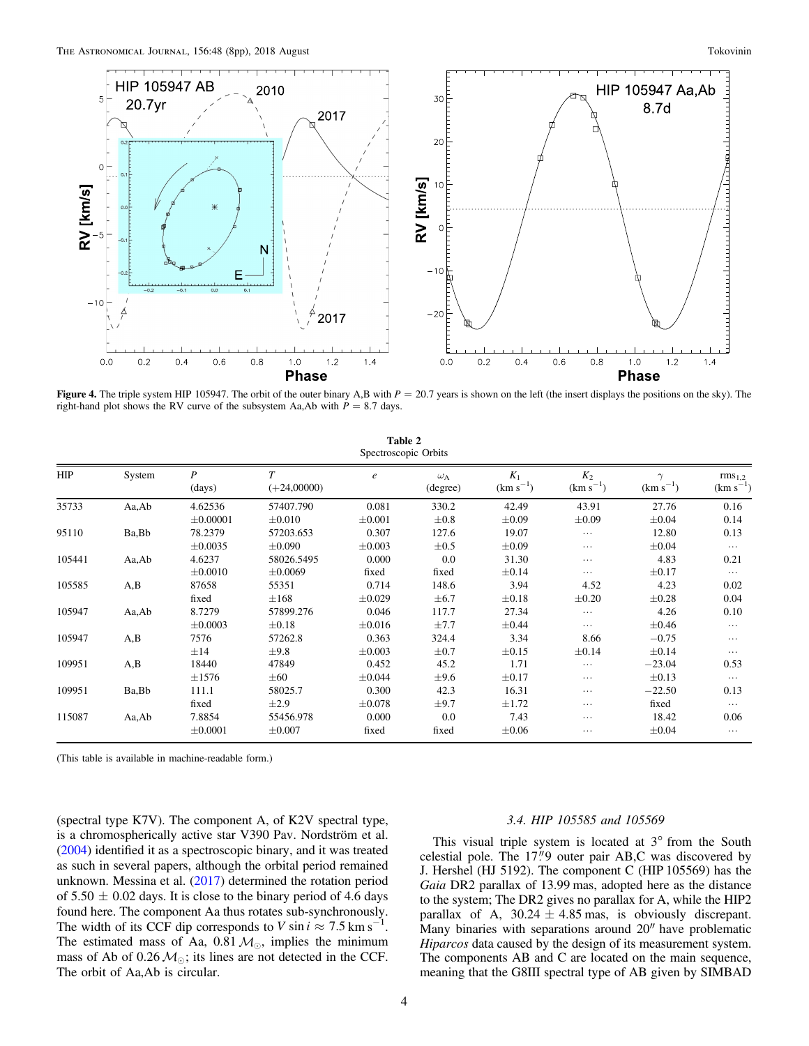<span id="page-3-0"></span>

Figure 4. The triple system HIP 105947. The orbit of the outer binary A,B with  $P = 20.7$  years is shown on the left (the insert displays the positions on the sky). The right-hand plot shows the RV curve of the subsystem Aa,Ab with  $P = 8.7$  days.

| Table 2<br>Spectroscopic Orbits |        |               |                         |                  |                              |                        |                        |                           |                                     |
|---------------------------------|--------|---------------|-------------------------|------------------|------------------------------|------------------------|------------------------|---------------------------|-------------------------------------|
| <b>HIP</b>                      | System | P<br>(days)   | $\tau$<br>$(+24,00000)$ | $\boldsymbol{e}$ | $\omega_{\rm A}$<br>(degree) | $K_1$<br>$(km s^{-1})$ | $K_2$<br>$(km s^{-1})$ | $\gamma$<br>$(km s^{-1})$ | rms <sub>1,2</sub><br>$(km s^{-1})$ |
| 35733                           | Aa,Ab  | 4.62536       | 57407.790               | 0.081            | 330.2                        | 42.49                  | 43.91                  | 27.76                     | 0.16                                |
|                                 |        | $\pm 0.00001$ | $\pm 0.010$             | $\pm 0.001$      | $\pm 0.8$                    | $\pm 0.09$             | $\pm 0.09$             | $\pm 0.04$                | 0.14                                |
| 95110                           | Ba, Bb | 78.2379       | 57203.653               | 0.307            | 127.6                        | 19.07                  | $\cdots$               | 12.80                     | 0.13                                |
|                                 |        | $\pm 0.0035$  | $\pm 0.090$             | $\pm 0.003$      | $\pm 0.5$                    | $\pm 0.09$             | $\cdots$               | $\pm 0.04$                | $\cdots$                            |
| 105441                          | Aa,Ab  | 4.6237        | 58026.5495              | 0.000            | 0.0                          | 31.30                  | $\cdots$               | 4.83                      | 0.21                                |
|                                 |        | $\pm 0.0010$  | $\pm 0.0069$            | fixed            | fixed                        | $\pm 0.14$             | $\cdots$               | $\pm 0.17$                | $\cdots$                            |
| 105585                          | A,B    | 87658         | 55351                   | 0.714            | 148.6                        | 3.94                   | 4.52                   | 4.23                      | 0.02                                |
|                                 |        | fixed         | $\pm 168$               | $\pm 0.029$      | $\pm 6.7$                    | $\pm 0.18$             | $\pm 0.20$             | $\pm 0.28$                | 0.04                                |
| 105947                          | Aa,Ab  | 8.7279        | 57899.276               | 0.046            | 117.7                        | 27.34                  | .                      | 4.26                      | 0.10                                |
|                                 |        | $\pm 0.0003$  | $\pm 0.18$              | $\pm 0.016$      | ±7.7                         | $\pm 0.44$             | $\cdots$               | $\pm 0.46$                | $\cdots$                            |
| 105947                          | A,B    | 7576          | 57262.8                 | 0.363            | 324.4                        | 3.34                   | 8.66                   | $-0.75$                   | .                                   |
|                                 |        | $\pm 14$      | $\pm$ 9.8               | $\pm 0.003$      | $\pm 0.7$                    | $\pm 0.15$             | $\pm 0.14$             | $\pm 0.14$                | $\cdots$                            |
| 109951                          | A,B    | 18440         | 47849                   | 0.452            | 45.2                         | 1.71                   | $\cdots$               | $-23.04$                  | 0.53                                |
|                                 |        | $\pm 1576$    | $\pm 60$                | $\pm 0.044$      | $\pm$ 9.6                    | $\pm 0.17$             | $\cdots$               | $\pm 0.13$                | $\cdots$                            |
| 109951                          | Ba, Bb | 111.1         | 58025.7                 | 0.300            | 42.3                         | 16.31                  | $\cdots$               | $-22.50$                  | 0.13                                |
|                                 |        | fixed         | $\pm 2.9$               | $\pm 0.078$      | $\pm$ 9.7                    | $\pm 1.72$             | $\cdots$               | fixed                     | $\cdots$                            |
| 115087                          | Aa,Ab  | 7.8854        | 55456.978               | 0.000            | 0.0                          | 7.43                   | $\cdots$               | 18.42                     | 0.06                                |
|                                 |        | $\pm 0.0001$  | $\pm 0.007$             | fixed            | fixed                        | $\pm 0.06$             | .                      | $\pm 0.04$                | $\cdots$                            |

(This table is available in machine-readable form.)

(spectral type K7V). The component A, of K2V spectral type, is a chromospherically active star V390 Pav. Nordström et al. ([2004](#page-7-0)) identified it as a spectroscopic binary, and it was treated as such in several papers, although the orbital period remained unknown. Messina et al. ([2017](#page-7-0)) determined the rotation period of  $5.50 \pm 0.02$  days. It is close to the binary period of 4.6 days found here. The component Aa thus rotates sub-synchronously. The width of its CCF dip corresponds to *V* sin  $i \approx 7.5$  km s<sup>−1</sup> . The estimated mass of Aa,  $0.81, M_{\odot}$ , implies the minimum mass of Ab of 0.26  $M_{\odot}$ ; its lines are not detected in the CCF. The orbit of Aa,Ab is circular.

#### 3.4. HIP 105585 and 105569

This visual triple system is located at 3° from the South celestial pole. The 17"9 outer pair AB,C was discovered by J. Hershel (HJ 5192). The component C (HIP 105569) has the Gaia DR2 parallax of 13.99 mas, adopted here as the distance to the system; The DR2 gives no parallax for A, while the HIP2 parallax of A,  $30.24 \pm 4.85$  mas, is obviously discrepant. Many binaries with separations around 20″ have problematic Hiparcos data caused by the design of its measurement system. The components AB and C are located on the main sequence, meaning that the G8III spectral type of AB given by SIMBAD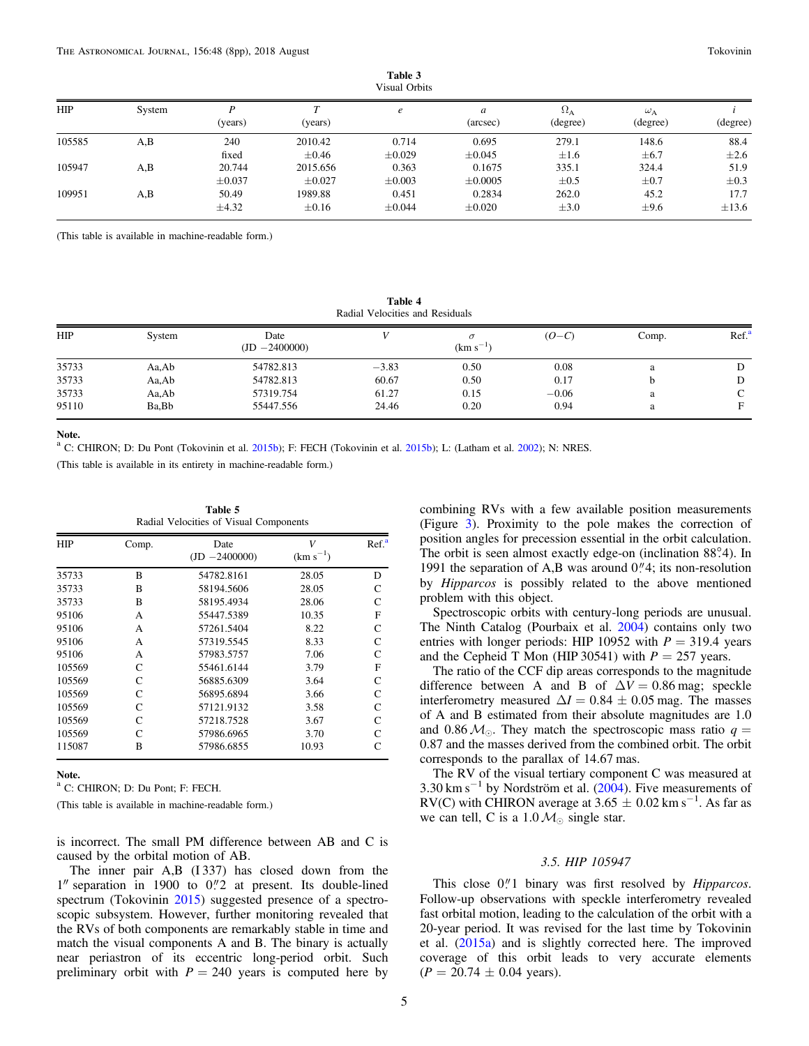| Table 3       |  |
|---------------|--|
| Visual Orbits |  |

<span id="page-4-0"></span>

| <b>HIP</b> | System | (years)     | ᠇᠇<br>(years) | e           | a<br>(arcsec) | $\Omega_{\rm A}$<br>(degree) | $\omega_{\rm A}$<br>(degree) | (degree)   |
|------------|--------|-------------|---------------|-------------|---------------|------------------------------|------------------------------|------------|
| 105585     | A,B    | 240         | 2010.42       | 0.714       | 0.695         | 279.1                        | 148.6                        | 88.4       |
|            |        | fixed       | $\pm 0.46$    | $\pm 0.029$ | $\pm 0.045$   | $\pm 1.6$                    | $\pm 6.7$                    | $\pm 2.6$  |
| 105947     | A,B    | 20.744      | 2015.656      | 0.363       | 0.1675        | 335.1                        | 324.4                        | 51.9       |
|            |        | $\pm 0.037$ | $\pm 0.027$   | $\pm 0.003$ | $\pm 0.0005$  | $\pm 0.5$                    | $\pm 0.7$                    | $\pm 0.3$  |
| 109951     | A,B    | 50.49       | 1989.88       | 0.451       | 0.2834        | 262.0                        | 45.2                         | 17.7       |
|            |        | $\pm 4.32$  | $\pm 0.16$    | $\pm 0.044$ | $\pm 0.020$   | $\pm 3.0$                    | $\pm$ 9.6                    | $\pm 13.6$ |

(This table is available in machine-readable form.)

Table 4 Radial Velocities and Residuals

| <b>HIP</b> | System | Date            |         | $\sigma$      | $(O-C)$ | Comp. | Ref. <sup>8</sup> |
|------------|--------|-----------------|---------|---------------|---------|-------|-------------------|
|            |        | $(ID -2400000)$ |         | $(km s^{-1})$ |         |       |                   |
| 35733      | Aa,Ab  | 54782.813       | $-3.83$ | 0.50          | 0.08    | a     |                   |
| 35733      | Aa,Ab  | 54782.813       | 60.67   | 0.50          | 0.17    |       | D                 |
| 35733      | Aa,Ab  | 57319.754       | 61.27   | 0.15          | $-0.06$ | a     | C                 |
| 95110      | Ba.Bb  | 55447.556       | 24.46   | 0.20          | 0.94    | a     | F                 |

Note.

 $a^a$  C: CHIRON; D: Du Pont (Tokovinin et al. [2015b](#page-7-0)); F: FECH (Tokovinin et al. 2015b); L: (Latham et al. [2002](#page-7-0)); N: NRES.

(This table is available in its entirety in machine-readable form.)

| <b>HIP</b> | Comp. | Date<br>$(ID -2400000)$ | V<br>$(km s^{-1})$ | Ref <sup>a</sup> |  |
|------------|-------|-------------------------|--------------------|------------------|--|
| 35733      | B     | 54782.8161              | 28.05              | D                |  |
| 35733      | B     | 58194.5606              | 28.05              | C                |  |
| 35733      | B     | 58195.4934              | 28.06              | C                |  |
| 95106      | A     | 55447.5389              | 10.35              | F                |  |
| 95106      | A     | 57261.5404              | 8.22               | C                |  |
| 95106      | A     | 57319.5545              | 8.33               | C                |  |
| 95106      | A     | 57983.5757              | 7.06               | C                |  |
| 105569     | C     | 55461.6144              | 3.79               | F                |  |
| 105569     | C     | 56885.6309              | 3.64               | C                |  |
| 105569     | C     | 56895.6894              | 3.66               | C                |  |
| 105569     | C     | 57121.9132              | 3.58               | C                |  |
| 105569     | C     | 57218.7528              | 3.67               | C                |  |
| 105569     | C     | 57986.6965              | 3.70               | C                |  |
| 115087     | B     | 57986.6855              | 10.93              |                  |  |

Table 5

Note.

<sup>a</sup> C: CHIRON; D: Du Pont; F: FECH.

(This table is available in machine-readable form.)

is incorrect. The small PM difference between AB and C is caused by the orbital motion of AB.

The inner pair A,B (I 337) has closed down from the  $1''$  separation in 1900 to  $0''/2$  at present. Its double-lined spectrum (Tokovinin [2015](#page-7-0)) suggested presence of a spectroscopic subsystem. However, further monitoring revealed that the RVs of both components are remarkably stable in time and match the visual components A and B. The binary is actually near periastron of its eccentric long-period orbit. Such preliminary orbit with  $P = 240$  years is computed here by

combining RVs with a few available position measurements (Figure [3](#page-2-0)). Proximity to the pole makes the correction of position angles for precession essential in the orbit calculation. The orbit is seen almost exactly edge-on (inclination 88°.4). In 1991 the separation of A,B was around  $0$ .<sup>"</sup>/4; its non-resolution by Hipparcos is possibly related to the above mentioned problem with this object.

Spectroscopic orbits with century-long periods are unusual. The Ninth Catalog (Pourbaix et al. [2004](#page-7-0)) contains only two entries with longer periods: HIP 10952 with  $P = 319.4$  years and the Cepheid T Mon (HIP 30541) with  $P = 257$  years.

The ratio of the CCF dip areas corresponds to the magnitude difference between A and B of  $\Delta V = 0.86$  mag; speckle interferometry measured  $\Delta I = 0.84 \pm 0.05$  mag. The masses of A and B estimated from their absolute magnitudes are 1.0 and 0.86  $M_{\odot}$ . They match the spectroscopic mass ratio  $q =$ 0.87 and the masses derived from the combined orbit. The orbit corresponds to the parallax of 14.67 mas.

The RV of the visual tertiary component C was measured at 3.30 km s<sup> $-1$ </sup> by Nordström et al. ([2004](#page-7-0)). Five measurements of RV(C) with CHIRON average at  $3.65 \pm 0.02$  km s<sup>-1</sup>. As far as we can tell, C is a 1.0  $M_{\odot}$  single star.

### 3.5. HIP 105947

This close  $0$ ."1 binary was first resolved by  $Hipparcos$ . Follow-up observations with speckle interferometry revealed fast orbital motion, leading to the calculation of the orbit with a 20-year period. It was revised for the last time by Tokovinin et al. ([2015a](#page-7-0)) and is slightly corrected here. The improved coverage of this orbit leads to very accurate elements  $(P = 20.74 \pm 0.04 \text{ years}).$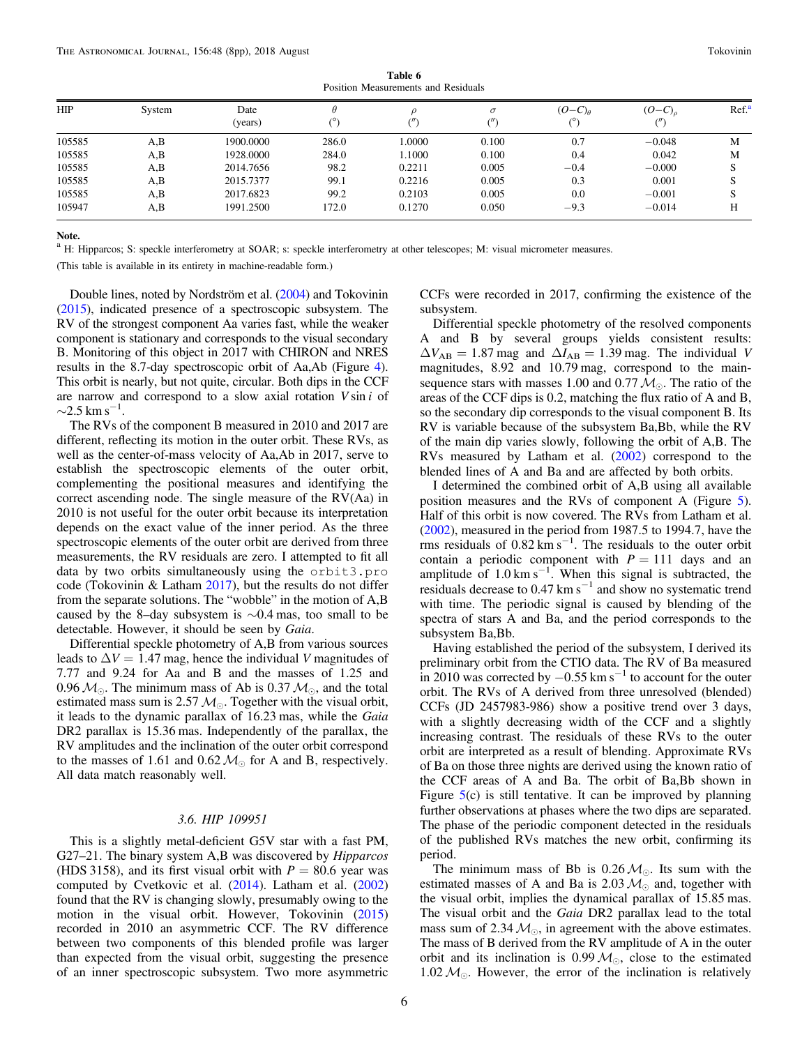Table 6 Position Measurements and Residuals

<span id="page-5-0"></span>

| <b>HIP</b> | System | Date<br>(years) |       | (")    | $\sigma$<br>$^{\prime\prime}$ | $(O-C)\theta$ | $(O-C)$ <sub>o</sub> | Ref <sup>a</sup> |
|------------|--------|-----------------|-------|--------|-------------------------------|---------------|----------------------|------------------|
| 105585     | A,B    | 1900.0000       | 286.0 | 1.0000 | 0.100                         | 0.7           | $-0.048$             | M                |
| 105585     | A,B    | 1928.0000       | 284.0 | 1.1000 | 0.100                         | 0.4           | 0.042                | M                |
| 105585     | A, B   | 2014.7656       | 98.2  | 0.2211 | 0.005                         | $-0.4$        | $-0.000$             |                  |
| 105585     | A, B   | 2015.7377       | 99.1  | 0.2216 | 0.005                         | 0.3           | 0.001                |                  |
| 105585     | A, B   | 2017.6823       | 99.2  | 0.2103 | 0.005                         | 0.0           | $-0.001$             |                  |
| 105947     | A,B    | 1991.2500       | 172.0 | 0.1270 | 0.050                         | $-9.3$        | $-0.014$             | Н                |

Note.

<sup>a</sup> H: Hipparcos; S: speckle interferometry at SOAR; s: speckle interferometry at other telescopes; M: visual micrometer measures.

(This table is available in its entirety in machine-readable form.)

Double lines, noted by Nordström et al. ([2004](#page-7-0)) and Tokovinin ([2015](#page-7-0)), indicated presence of a spectroscopic subsystem. The RV of the strongest component Aa varies fast, while the weaker component is stationary and corresponds to the visual secondary B. Monitoring of this object in 2017 with CHIRON and NRES results in the 8.7-day spectroscopic orbit of Aa,Ab (Figure [4](#page-3-0)). This orbit is nearly, but not quite, circular. Both dips in the CCF are narrow and correspond to a slow axial rotation V sin i of  $\sim$ 2.5 km s<sup>-1</sup> .

The RVs of the component B measured in 2010 and 2017 are different, reflecting its motion in the outer orbit. These RVs, as well as the center-of-mass velocity of Aa,Ab in 2017, serve to establish the spectroscopic elements of the outer orbit, complementing the positional measures and identifying the correct ascending node. The single measure of the RV(Aa) in 2010 is not useful for the outer orbit because its interpretation depends on the exact value of the inner period. As the three spectroscopic elements of the outer orbit are derived from three measurements, the RV residuals are zero. I attempted to fit all data by two orbits simultaneously using the orbit3.pro code (Tokovinin & Latham [2017](#page-7-0)), but the results do not differ from the separate solutions. The "wobble" in the motion of A,B caused by the 8–day subsystem is ∼0.4 mas, too small to be detectable. However, it should be seen by Gaia.

Differential speckle photometry of A,B from various sources leads to  $\Delta V = 1.47$  mag, hence the individual V magnitudes of 7.77 and 9.24 for Aa and B and the masses of 1.25 and 0.96  $M_{\odot}$ . The minimum mass of Ab is 0.37  $M_{\odot}$ , and the total estimated mass sum is 2.57  $M_{\odot}$ . Together with the visual orbit, it leads to the dynamic parallax of 16.23 mas, while the Gaia DR2 parallax is 15.36 mas. Independently of the parallax, the RV amplitudes and the inclination of the outer orbit correspond to the masses of 1.61 and 0.62  $M_{\odot}$  for A and B, respectively. All data match reasonably well.

### 3.6. HIP 109951

This is a slightly metal-deficient G5V star with a fast PM, G27–21. The binary system A,B was discovered by *Hipparcos* (HDS 3158), and its first visual orbit with  $P = 80.6$  year was computed by Cvetkovic et al. ([2014](#page-7-0)). Latham et al. ([2002](#page-7-0)) found that the RV is changing slowly, presumably owing to the motion in the visual orbit. However, Tokovinin ([2015](#page-7-0)) recorded in 2010 an asymmetric CCF. The RV difference between two components of this blended profile was larger than expected from the visual orbit, suggesting the presence of an inner spectroscopic subsystem. Two more asymmetric

CCFs were recorded in 2017, confirming the existence of the subsystem.

Differential speckle photometry of the resolved components A and B by several groups yields consistent results:  $\Delta V_{AB} = 1.87$  mag and  $\Delta I_{AB} = 1.39$  mag. The individual V magnitudes, 8.92 and 10.79 mag, correspond to the mainsequence stars with masses 1.00 and 0.77  $M_{\odot}$ . The ratio of the areas of the CCF dips is 0.2, matching the flux ratio of A and B, so the secondary dip corresponds to the visual component B. Its RV is variable because of the subsystem Ba,Bb, while the RV of the main dip varies slowly, following the orbit of A,B. The RVs measured by Latham et al. ([2002](#page-7-0)) correspond to the blended lines of A and Ba and are affected by both orbits.

I determined the combined orbit of A,B using all available position measures and the RVs of component A (Figure [5](#page-6-0)). Half of this orbit is now covered. The RVs from Latham et al. ([2002](#page-7-0)), measured in the period from 1987.5 to 1994.7, have the rms residuals of  $0.82 \text{ km s}^{-1}$ . The residuals to the outer orbit contain a periodic component with  $P = 111$  days and an amplitude of  $1.0 \text{ km s}^{-1}$ . When this signal is subtracted, the residuals decrease to  $0.47 \text{ km s}^{-1}$  and show no systematic trend with time. The periodic signal is caused by blending of the spectra of stars A and Ba, and the period corresponds to the subsystem Ba,Bb.

Having established the period of the subsystem, I derived its preliminary orbit from the CTIO data. The RV of Ba measured  $\frac{1}{1}$ in 2010 was corrected by  $-0.55$  km s<sup>-1</sup> to account for the outer orbit. The RVs of A derived from three unresolved (blended) CCFs (JD 2457983-986) show a positive trend over 3 days, with a slightly decreasing width of the CCF and a slightly increasing contrast. The residuals of these RVs to the outer orbit are interpreted as a result of blending. Approximate RVs of Ba on those three nights are derived using the known ratio of the CCF areas of A and Ba. The orbit of Ba,Bb shown in Figure  $5(c)$  $5(c)$  is still tentative. It can be improved by planning further observations at phases where the two dips are separated. The phase of the periodic component detected in the residuals of the published RVs matches the new orbit, confirming its period.

The minimum mass of Bb is 0.26  $M_{\odot}$ . Its sum with the estimated masses of A and Ba is 2.03  $M_{\odot}$  and, together with the visual orbit, implies the dynamical parallax of 15.85 mas. The visual orbit and the Gaia DR2 parallax lead to the total mass sum of 2.34  $M_{\odot}$ , in agreement with the above estimates. The mass of B derived from the RV amplitude of A in the outer orbit and its inclination is 0.99  $M_{\odot}$ , close to the estimated 1.02  $M_{\odot}$ . However, the error of the inclination is relatively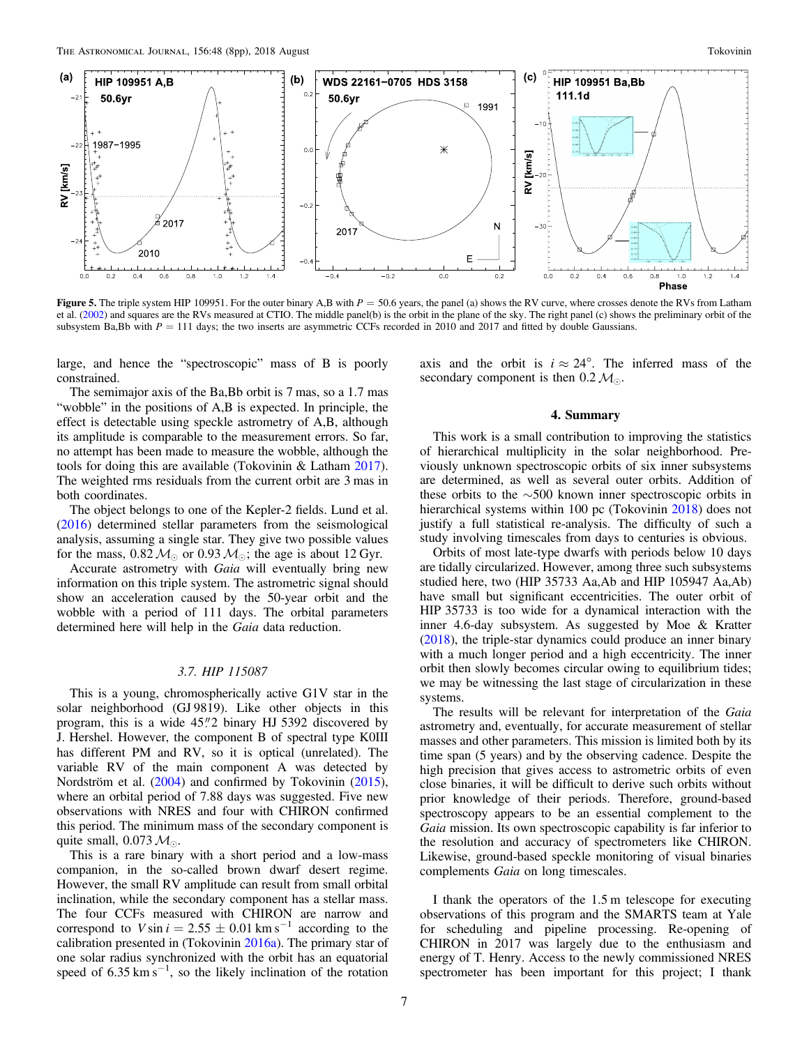<span id="page-6-0"></span>

Figure 5. The triple system HIP 109951. For the outer binary A,B with  $P = 50.6$  years, the panel (a) shows the RV curve, where crosses denote the RVs from Latham et al. ([2002](#page-7-0)) and squares are the RVs measured at CTIO. The middle panel(b) is the orbit in the plane of the sky. The right panel (c) shows the preliminary orbit of the subsystem Ba,Bb with  $P = 111$  days; the two inserts are asymmetric CCFs recorded in 2010 and 2017 and fitted by double Gaussians.

large, and hence the "spectroscopic" mass of B is poorly constrained.

axis and the orbit is  $i \approx 24^{\circ}$ . The inferred mass of the secondary component is then  $0.2 \, \mathcal{M}_{\odot}$ .

### The semimajor axis of the Ba,Bb orbit is 7 mas, so a 1.7 mas "wobble" in the positions of A,B is expected. In principle, the effect is detectable using speckle astrometry of A,B, although its amplitude is comparable to the measurement errors. So far, no attempt has been made to measure the wobble, although the tools for doing this are available (Tokovinin & Latham [2017](#page-7-0)). The weighted rms residuals from the current orbit are 3 mas in both coordinates.

The object belongs to one of the Kepler-2 fields. Lund et al. ([2016](#page-7-0)) determined stellar parameters from the seismological analysis, assuming a single star. They give two possible values for the mass,  $0.82 \, \mathcal{M}_{\odot}$  or  $0.93 \, \mathcal{M}_{\odot}$ ; the age is about 12 Gyr.

Accurate astrometry with Gaia will eventually bring new information on this triple system. The astrometric signal should show an acceleration caused by the 50-year orbit and the wobble with a period of 111 days. The orbital parameters determined here will help in the *Gaia* data reduction.

#### 3.7. HIP 115087

This is a young, chromospherically active G1V star in the solar neighborhood (GJ 9819). Like other objects in this program, this is a wide 45."2 binary HJ 5392 discovered by J. Hershel. However, the component B of spectral type K0III has different PM and RV, so it is optical (unrelated). The variable RV of the main component A was detected by Nordström et al. ([2004](#page-7-0)) and confirmed by Tokovinin ([2015](#page-7-0)), where an orbital period of 7.88 days was suggested. Five new observations with NRES and four with CHIRON confirmed this period. The minimum mass of the secondary component is quite small, 0.073  $M_{\odot}$ .

This is a rare binary with a short period and a low-mass companion, in the so-called brown dwarf desert regime. However, the small RV amplitude can result from small orbital inclination, while the secondary component has a stellar mass. The four CCFs measured with CHIRON are narrow and correspond to V sin  $i = 2.55 \pm 0.01$  km s<sup>-1</sup> according to the calibration presented in (Tokovinin [2016a](#page-7-0)). The primary star of one solar radius synchronized with the orbit has an equatorial speed of  $6.35 \text{ km s}^{-1}$ , so the likely inclination of the rotation

### 4. Summary

This work is a small contribution to improving the statistics of hierarchical multiplicity in the solar neighborhood. Previously unknown spectroscopic orbits of six inner subsystems are determined, as well as several outer orbits. Addition of these orbits to the ∼500 known inner spectroscopic orbits in hierarchical systems within 100 pc (Tokovinin [2018](#page-7-0)) does not justify a full statistical re-analysis. The difficulty of such a study involving timescales from days to centuries is obvious.

Orbits of most late-type dwarfs with periods below 10 days are tidally circularized. However, among three such subsystems studied here, two (HIP 35733 Aa,Ab and HIP 105947 Aa,Ab) have small but significant eccentricities. The outer orbit of HIP 35733 is too wide for a dynamical interaction with the inner 4.6-day subsystem. As suggested by Moe & Kratter ([2018](#page-7-0)), the triple-star dynamics could produce an inner binary with a much longer period and a high eccentricity. The inner orbit then slowly becomes circular owing to equilibrium tides; we may be witnessing the last stage of circularization in these systems.

The results will be relevant for interpretation of the Gaia astrometry and, eventually, for accurate measurement of stellar masses and other parameters. This mission is limited both by its time span (5 years) and by the observing cadence. Despite the high precision that gives access to astrometric orbits of even close binaries, it will be difficult to derive such orbits without prior knowledge of their periods. Therefore, ground-based spectroscopy appears to be an essential complement to the Gaia mission. Its own spectroscopic capability is far inferior to the resolution and accuracy of spectrometers like CHIRON. Likewise, ground-based speckle monitoring of visual binaries complements Gaia on long timescales.

I thank the operators of the 1.5 m telescope for executing observations of this program and the SMARTS team at Yale for scheduling and pipeline processing. Re-opening of CHIRON in 2017 was largely due to the enthusiasm and energy of T. Henry. Access to the newly commissioned NRES spectrometer has been important for this project; I thank